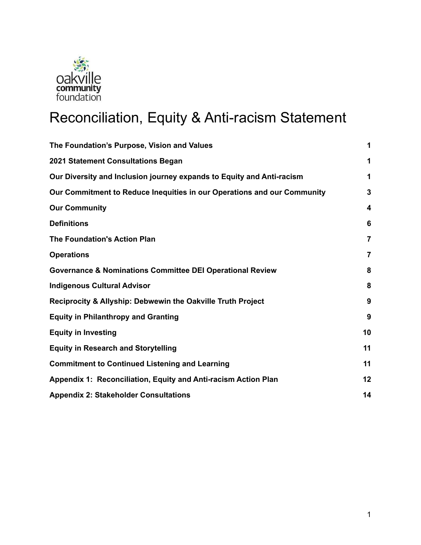

# Reconciliation, Equity & Anti-racism Statement

| The Foundation's Purpose, Vision and Values                             | 1               |
|-------------------------------------------------------------------------|-----------------|
| 2021 Statement Consultations Began                                      | 1               |
| Our Diversity and Inclusion journey expands to Equity and Anti-racism   | 1               |
| Our Commitment to Reduce Inequities in our Operations and our Community | $\mathbf{3}$    |
| <b>Our Community</b>                                                    | 4               |
| <b>Definitions</b>                                                      | $6\phantom{1}6$ |
| <b>The Foundation's Action Plan</b>                                     | $\overline{7}$  |
| <b>Operations</b>                                                       | 7               |
| <b>Governance &amp; Nominations Committee DEI Operational Review</b>    | 8               |
| <b>Indigenous Cultural Advisor</b>                                      | 8               |
| Reciprocity & Allyship: Debwewin the Oakville Truth Project             | 9               |
| <b>Equity in Philanthropy and Granting</b>                              | 9               |
| <b>Equity in Investing</b>                                              | 10              |
| <b>Equity in Research and Storytelling</b>                              | 11              |
| <b>Commitment to Continued Listening and Learning</b>                   | 11              |
| Appendix 1: Reconciliation, Equity and Anti-racism Action Plan          | 12              |
| <b>Appendix 2: Stakeholder Consultations</b>                            | 14              |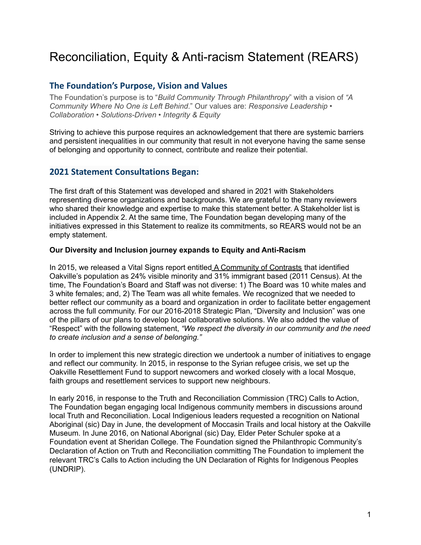## Reconciliation, Equity & Anti-racism Statement (REARS)

## <span id="page-1-0"></span>**The Foundation's Purpose, Vision and Values**

The Foundation's purpose is to "*Build Community Through Philanthropy*" with a vision of *"A Community Where No One is Left Behind*." Our values are: *Responsive Leadership • Collaboration • Solutions-Driven • Integrity & Equity*

Striving to achieve this purpose requires an acknowledgement that there are systemic barriers and persistent inequalities in our community that result in not everyone having the same sense of belonging and opportunity to connect, contribute and realize their potential.

## **2021 Statement Consultations Began:**

The first draft of this Statement was developed and shared in 2021 with Stakeholders representing diverse organizations and backgrounds. We are grateful to the many reviewers who shared their knowledge and expertise to make this statement better. A Stakeholder list is included in Appendix 2. At the same time, The Foundation began developing many of the initiatives expressed in this Statement to realize its commitments, so REARS would not be an empty statement.

#### **Our Diversity and Inclusion journey expands to Equity and Anti-Racism**

In 2015, we released a Vital Signs report entitled A Community of Contrasts that identified Oakville's population as 24% visible minority and 31% immigrant based (2011 Census). At the time, The Foundation's Board and Staff was not diverse: 1) The Board was 10 white males and 3 white females; and, 2) The Team was all white females. We recognized that we needed to better reflect our community as a board and organization in order to facilitate better engagement across the full community. For our 2016-2018 Strategic Plan, "Diversity and Inclusion" was one of the pillars of our plans to develop local collaborative solutions. We also added the value of "Respect" with the following statement, *"We respect the diversity in our community and the need to create inclusion and a sense of belonging."*

In order to implement this new strategic direction we undertook a number of initiatives to engage and reflect our community. In 2015, in response to the Syrian refugee crisis, we set up the Oakville Resettlement Fund to support newcomers and worked closely with a local Mosque, faith groups and resettlement services to support new neighbours.

In early 2016, in response to the Truth and Reconciliation Commission (TRC) Calls to Action, The Foundation began engaging local Indigenous community members in discussions around local Truth and Reconciliation. Local Indigenious leaders requested a recognition on National Aboriginal (sic) Day in June, the development of Moccasin Trails and local history at the Oakville Museum. In June 2016, on National Aborignal (sic) Day, Elder Peter Schuler spoke at a Foundation event at Sheridan College. The Foundation signed the Philanthropic Community's Declaration of Action on Truth and Reconciliation committing The Foundation to implement the relevant TRC's Calls to Action including the UN Declaration of Rights for Indigenous Peoples (UNDRIP).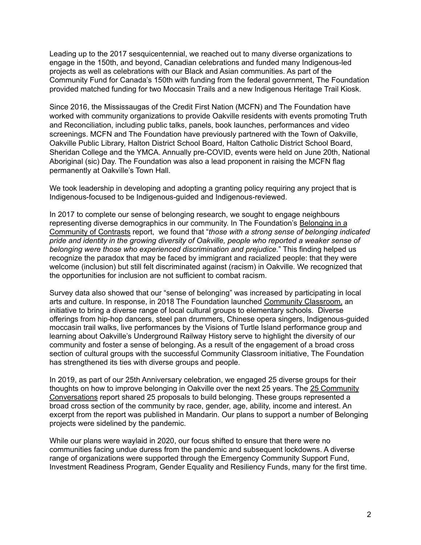Leading up to the 2017 sesquicentennial, we reached out to many diverse organizations to engage in the 150th, and beyond, Canadian celebrations and funded many Indigenous-led projects as well as celebrations with our Black and Asian communities. As part of the Community Fund for Canada's 150th with funding from the federal government, The Foundation provided matched funding for two Moccasin Trails and a new Indigenous Heritage Trail Kiosk.

Since 2016, the Mississaugas of the Credit First Nation (MCFN) and The Foundation have worked with community organizations to provide Oakville residents with events promoting Truth and Reconciliation, including public talks, panels, book launches, performances and video screenings. MCFN and The Foundation have previously partnered with the Town of Oakville, Oakville Public Library, Halton District School Board, Halton Catholic District School Board, Sheridan College and the YMCA. Annually pre-COVID, events were held on June 20th, National Aboriginal (sic) Day. The Foundation was also a lead proponent in raising the MCFN flag permanently at Oakville's Town Hall.

We took leadership in developing and adopting a granting policy requiring any project that is Indigenous-focused to be Indigenous-guided and Indigenous-reviewed.

In 2017 to complete our sense of belonging research, we sought to engage neighbours representing diverse demographics in our community. In The Foundation's Belonging in a Community of Contrasts report, we found that "*those with a strong sense of belonging indicated pride and identity in the growing diversity of Oakville, people who reported a weaker sense of belonging were those who experienced discrimination and prejudice.*" This finding helped us recognize the paradox that may be faced by immigrant and racialized people: that they were welcome (inclusion) but still felt discriminated against (racism) in Oakville. We recognized that the opportunities for inclusion are not sufficient to combat racism.

Survey data also showed that our "sense of belonging" was increased by participating in local arts and culture. In response, in 2018 The Foundation launched Community Classroom, an initiative to bring a diverse range of local cultural groups to elementary schools. Diverse offerings from hip-hop dancers, steel pan drummers, Chinese opera singers, Indigenous-guided moccasin trail walks, live performances by the Visions of Turtle Island performance group and learning about Oakville's Underground Railway History serve to highlight the diversity of our community and foster a sense of belonging. As a result of the engagement of a broad cross section of cultural groups with the successful Community Classroom initiative, The Foundation has strengthened its ties with diverse groups and people.

In 2019, as part of our 25th Anniversary celebration, we engaged 25 diverse groups for their thoughts on how to improve belonging in Oakville over the next 25 years. The 25 Community Conversations report shared 25 proposals to build belonging. These groups represented a broad cross section of the community by race, gender, age, ability, income and interest. An excerpt from the report was published in Mandarin. Our plans to support a number of Belonging projects were sidelined by the pandemic.

While our plans were waylaid in 2020, our focus shifted to ensure that there were no communities facing undue duress from the pandemic and subsequent lockdowns. A diverse range of organizations were supported through the Emergency Community Support Fund, Investment Readiness Program, Gender Equality and Resiliency Funds, many for the first time.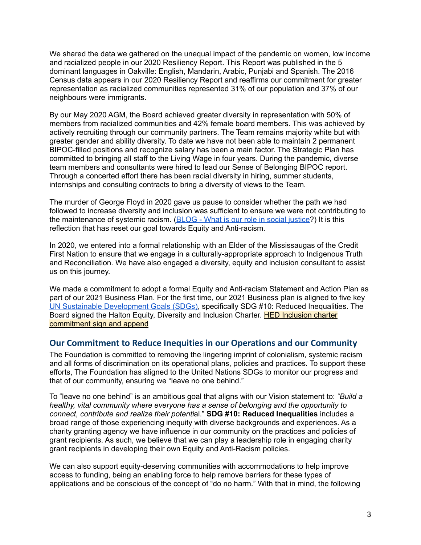We shared the data we gathered on the unequal impact of the pandemic on women, low income and racialized people in our 2020 Resiliency Report. This Report was published in the 5 dominant languages in Oakville: English, Mandarin, Arabic, Punjabi and Spanish. The 2016 Census data appears in our 2020 Resiliency Report and reaffirms our commitment for greater representation as racialized communities represented 31% of our population and 37% of our neighbours were immigrants.

By our May 2020 AGM, the Board achieved greater diversity in representation with 50% of members from racialized communities and 42% female board members. This was achieved by actively recruiting through our community partners. The Team remains majority white but with greater gender and ability diversity. To date we have not been able to maintain 2 permanent BIPOC-filled positions and recognize salary has been a main factor. The Strategic Plan has committed to bringing all staff to the Living Wage in four years. During the pandemic, diverse team members and consultants were hired to lead our Sense of Belonging BIPOC report. Through a concerted effort there has been racial diversity in hiring, summer students, internships and consulting contracts to bring a diversity of views to the Team.

The murder of George Floyd in 2020 gave us pause to consider whether the path we had followed to increase diversity and inclusion was sufficient to ensure we were not contributing to the maintenance of systemic racism. (BLOG - What is our role in social [justice?](https://www.theocf.org/2020/06/19/what-is-our-role-in-social-justice/)) It is this reflection that has reset our goal towards Equity and Anti-racism.

In 2020, we entered into a formal relationship with an Elder of the Mississaugas of the Credit First Nation to ensure that we engage in a culturally-appropriate approach to Indigenous Truth and Reconciliation. We have also engaged a diversity, equity and inclusion consultant to assist us on this journey.

We made a commitment to adopt a formal Equity and Anti-racism Statement and Action Plan as part of our 2021 Business Plan. For the first time, our 2021 Business plan is aligned to five key UN Sustainable [Development](https://sdgs.un.org/goals) Goals (SDGs), specifically SDG #10: Reduced Inequalities. The Board signed the Halton Equity, Diversity and Inclusion Charter. HED Inclusion charter commitment sign and append

## <span id="page-3-0"></span>**Our Commitment to Reduce Inequities in our Operations and our Community**

The Foundation is committed to removing the lingering imprint of colonialism, systemic racism and all forms of discrimination on its operational plans, policies and practices. To support these efforts, The Foundation has aligned to the United Nations SDGs to monitor our progress and that of our community, ensuring we "leave no one behind."

To "leave no one behind" is an ambitious goal that aligns with our Vision statement to: *"Build a healthy, vital community where everyone has a sense of belonging and the opportunity to connect, contribute and realize their potenti*al." **SDG #10: Reduced Inequalities** includes a broad range of those experiencing inequity with diverse backgrounds and experiences. As a charity granting agency we have influence in our community on the practices and policies of grant recipients. As such, we believe that we can play a leadership role in engaging charity grant recipients in developing their own Equity and Anti-Racism policies.

We can also support equity-deserving communities with accommodations to help improve access to funding, being an enabling force to help remove barriers for these types of applications and be conscious of the concept of "do no harm." With that in mind, the following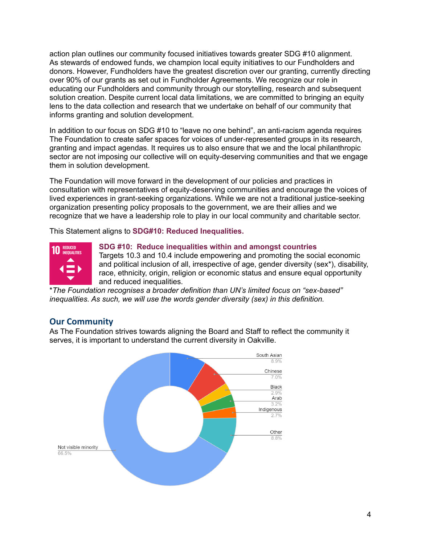action plan outlines our community focused initiatives towards greater SDG #10 alignment. As stewards of endowed funds, we champion local equity initiatives to our Fundholders and donors. However, Fundholders have the greatest discretion over our granting, currently directing over 90% of our grants as set out in Fundholder Agreements. We recognize our role in educating our Fundholders and community through our storytelling, research and subsequent solution creation. Despite current local data limitations, we are committed to bringing an equity lens to the data collection and research that we undertake on behalf of our community that informs granting and solution development.

In addition to our focus on SDG #10 to "leave no one behind", an anti-racism agenda requires The Foundation to create safer spaces for voices of under-represented groups in its research, granting and impact agendas. It requires us to also ensure that we and the local philanthropic sector are not imposing our collective will on equity-deserving communities and that we engage them in solution development.

The Foundation will move forward in the development of our policies and practices in consultation with representatives of equity-deserving communities and encourage the voices of lived experiences in grant-seeking organizations. While we are not a traditional justice-seeking organization presenting policy proposals to the government, we are their allies and we recognize that we have a leadership role to play in our local community and charitable sector.

This Statement aligns to **SDG#10: Reduced Inequalities.**



#### **SDG #10: Reduce inequalities within and amongst countries**

Targets 10.3 and 10.4 include empowering and promoting the social economic and political inclusion of all, irrespective of age, gender diversity (sex\*), disability, race, ethnicity, origin, religion or economic status and ensure equal opportunity and reduced inequalities.

\**The Foundation recognises a broader definition than UN's limited focus on "sex-based" inequalities. As such, we will use the words gender diversity (sex) in this definition.*

## <span id="page-4-0"></span>**Our Community**

As The Foundation strives towards aligning the Board and Staff to reflect the community it serves, it is important to understand the current diversity in Oakville.

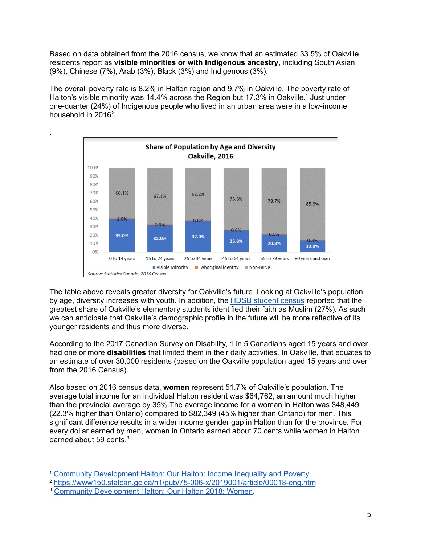Based on data obtained from the 2016 census, we know that an estimated 33.5% of Oakville residents report as **visible minorities or with Indigenous ancestry**, including South Asian (9%), Chinese (7%), Arab (3%), Black (3%) and Indigenous (3%).

The overall poverty rate is 8.2% in Halton region and 9.7% in Oakville. The poverty rate of Halton's visible minority was 14.4% across the Region but 17.3% in Oakville.<sup>1</sup> Just under one-quarter (24%) of Indigenous people who lived in an urban area were in a low-income household in 2016<sup>2</sup>.

.



The table above reveals greater diversity for Oakville's future. Looking at Oakville's population by age, diversity increases with youth. In addition, the [HDSB student census](https://www.hdsb.ca/our-board/Pages/HDSB-Student-and-Staff-Census.aspx) reported that the greatest share of Oakville's elementary students identified their faith as Muslim (27%). As such we can anticipate that Oakville's demographic profile in the future will be more reflective of its younger residents and thus more diverse.

According to the 2017 Canadian Survey on Disability, 1 in 5 Canadians aged 15 years and over had one or more **disabilities** that limited them in their daily activities. In Oakville, that equates to an estimate of over 30,000 residents (based on the Oakville population aged 15 years and over from the 2016 Census).

Also based on 2016 census data, **women** represent 51.7% of Oakville's population. The average total income for an individual Halton resident was \$64,762, an amount much higher than the provincial average by 35%.The average income for a woman in Halton was \$48,449 (22.3% higher than Ontario) compared to \$82,349 (45% higher than Ontario) for men. This significant difference results in a wider income gender gap in Halton than for the province. For every dollar earned by men, women in Ontario earned about 70 cents while women in Halton earned about 59 cents.<sup>3</sup>

<sup>1</sup> [Community Development Halton: Our Halton: Income Inequality and Poverty](https://cdhalton.ca/wp-content/uploads/2018/09/Our-Halton-2018-Income-Inequality-and-Poverty.pdf)

<sup>2</sup> <https://www150.statcan.gc.ca/n1/pub/75-006-x/2019001/article/00018-eng.htm>

<sup>3</sup> [Community Development Halton: Our Halton 2018: Women.](https://cdhalton.ca/wp-content/uploads/2018/09/Our-Halton-2018-Women.pdf)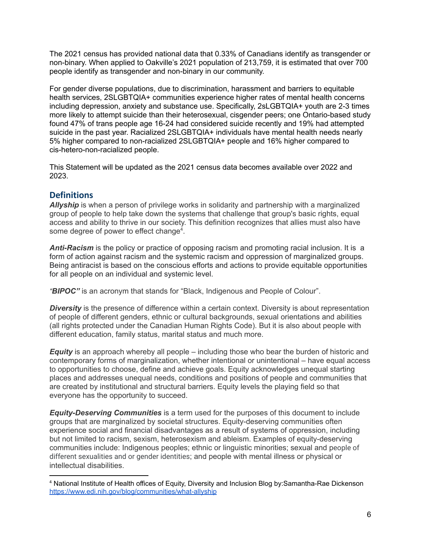The 2021 census has provided national data that 0.33% of Canadians identify as transgender or non-binary. When applied to Oakville's 2021 population of 213,759, it is estimated that over 700 people identify as transgender and non-binary in our community.

For gender diverse populations, due to discrimination, harassment and barriers to equitable health services, 2SLGBTQIA+ communities experience higher rates of mental health concerns including depression, anxiety and substance use. Specifically, 2sLGBTQIA+ youth are 2-3 times more likely to attempt suicide than their heterosexual, cisgender peers; one Ontario-based study found 47% of trans people age 16-24 had considered suicide recently and 19% had attempted suicide in the past year. Racialized 2SLGBTQIA+ individuals have mental health needs nearly 5% higher compared to non-racialized 2SLGBTQIA+ people and 16% higher compared to cis-hetero-non-racialized people.

This Statement will be updated as the 2021 census data becomes available over 2022 and 2023.

## **Definitions**

*Allyship* is when a person of privilege works in solidarity and partnership with a marginalized group of people to help take down the systems that challenge that group's basic rights, equal access and ability to thrive in our society. This definition recognizes that allies must also have some degree of power to effect change<sup>4</sup>.

*Anti-Racism* is the policy or practice of opposing racism and promoting racial inclusion. It is a form of action against [racism](https://en.wikipedia.org/wiki/Racism) and the [systemic](https://en.wikipedia.org/wiki/Systemic_racism) racism and [oppression](https://en.wikipedia.org/wiki/Oppression) of marginalized groups. Being antiracist is based on the conscious efforts and actions to provide equitable opportunities for all people on an individual and systemic level.

*"BIPOC"* is an acronym that stands for "Black, Indigenous and People of Colour".

**Diversity** is the presence of difference within a certain context. Diversity is about representation of people of different genders, ethnic or cultural backgrounds, sexual orientations and abilities (all rights protected under the Canadian Human Rights Code). But it is also about people with different education, family status, marital status and much more.

*Equity* is an approach whereby all people – including those who bear the burden of historic and contemporary forms of marginalization, whether intentional or unintentional – have equal access to opportunities to choose, define and achieve goals. Equity acknowledges unequal starting places and addresses unequal needs, conditions and positions of people and communities that are created by institutional and structural barriers. Equity levels the playing field so that everyone has the opportunity to succeed.

*Equity-Deserving Communities* is a term used for the purposes of this document to include groups that are marginalized by societal structures. Equity-deserving communities often experience social and financial disadvantages as a result of systems of oppression, including but not limited to racism, sexism, heterosexism and ableism. Examples of equity-deserving communities include: Indigenous peoples; ethnic or linguistic minorities; sexual and people of different sexualities and or gender identities; and people with mental illness or physical or intellectual disabilities.

<sup>4</sup> National Institute of Health offices of Equity, Diversity and Inclusion Blog by:Samantha-Rae Dickenson <https://www.edi.nih.gov/blog/communities/what-allyship>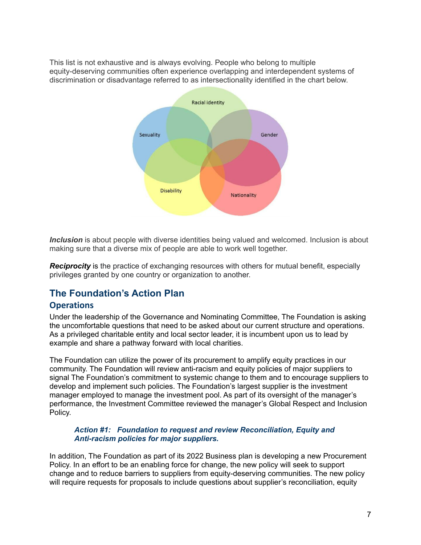This list is not exhaustive and is always evolving. People who belong to multiple equity-deserving communities often experience overlapping and interdependent systems of discrimination or disadvantage referred to as intersectionality identified in the chart below.



*Inclusion* is about people with diverse identities being valued and welcomed. Inclusion is about making sure that a diverse mix of people are able to work well together.

**Reciprocity** is the practice of exchanging resources with others for mutual benefit, especially privileges granted by one country or organization to another.

## **The Foundation's Action Plan**

## <span id="page-7-0"></span>**Operations**

Under the leadership of the Governance and Nominating Committee, The Foundation is asking the uncomfortable questions that need to be asked about our current structure and operations. As a privileged charitable entity and local sector leader, it is incumbent upon us to lead by example and share a pathway forward with local charities.

The Foundation can utilize the power of its procurement to amplify equity practices in our community. The Foundation will review anti-racism and equity policies of major suppliers to signal The Foundation's commitment to systemic change to them and to encourage suppliers to develop and implement such policies. The Foundation's largest supplier is the investment manager employed to manage the investment pool. As part of its oversight of the manager's performance, the Investment Committee reviewed the manager's Global Respect and Inclusion Policy.

#### *Action #1: Foundation to request and review Reconciliation, Equity and Anti-racism policies for major suppliers.*

In addition, The Foundation as part of its 2022 Business plan is developing a new Procurement Policy. In an effort to be an enabling force for change, the new policy will seek to support change and to reduce barriers to suppliers from equity-deserving communities. The new policy will require requests for proposals to include questions about supplier's reconciliation, equity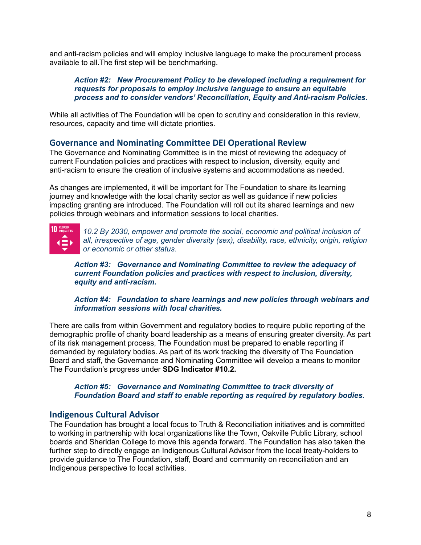and anti-racism policies and will employ inclusive language to make the procurement process available to all.The first step will be benchmarking.

#### *Action #2: New Procurement Policy to be developed including a requirement for requests for proposals to employ inclusive language to ensure an equitable process and to consider vendors' Reconciliation, Equity and Anti-racism Policies.*

While all activities of The Foundation will be open to scrutiny and consideration in this review, resources, capacity and time will dictate priorities.

## <span id="page-8-0"></span>**Governance and Nominating Committee DEI Operational Review**

The Governance and Nominating Committee is in the midst of reviewing the adequacy of current Foundation policies and practices with respect to inclusion, diversity, equity and anti-racism to ensure the creation of inclusive systems and accommodations as needed.

As changes are implemented, it will be important for The Foundation to share its learning journey and knowledge with the local charity sector as well as guidance if new policies impacting granting are introduced. The Foundation will roll out its shared learnings and new policies through webinars and information sessions to local charities.

**10 REDUCED** 

*10.2 By 2030, empower and promote the social, economic and political inclusion of all, irrespective of age, gender diversity (sex), disability, race, ethnicity, origin, religion or economic or other status.*

*Action #3: Governance and Nominating Committee to review the adequacy of current Foundation policies and practices with respect to inclusion, diversity, equity and anti-racism.*

*Action #4: Foundation to share learnings and new policies through webinars and information sessions with local charities.*

There are calls from within Government and regulatory bodies to require public reporting of the demographic profile of charity board leadership as a means of ensuring greater diversity. As part of its risk management process, The Foundation must be prepared to enable reporting if demanded by regulatory bodies. As part of its work tracking the diversity of The Foundation Board and staff, the Governance and Nominating Committee will develop a means to monitor The Foundation's progress under **SDG Indicator #10.2.**

#### *Action #5: Governance and Nominating Committee to track diversity of Foundation Board and staff to enable reporting as required by regulatory bodies.*

## <span id="page-8-1"></span>**Indigenous Cultural Advisor**

The Foundation has brought a local focus to Truth & Reconciliation initiatives and is committed to working in partnership with local organizations like the Town, Oakville Public Library, school boards and Sheridan College to move this agenda forward. The Foundation has also taken the further step to directly engage an Indigenous Cultural Advisor from the local treaty-holders to provide guidance to The Foundation, staff, Board and community on reconciliation and an Indigenous perspective to local activities.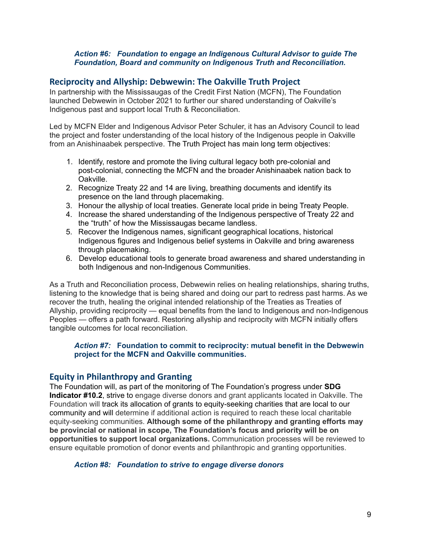#### *Action #6: Foundation to engage an Indigenous Cultural Advisor to guide The Foundation, Board and community on Indigenous Truth and Reconciliation.*

#### **Reciprocity and Allyship: Debwewin: The Oakville Truth Project**

In partnership with the Mississaugas of the Credit First Nation (MCFN), The Foundation launched Debwewin in October 2021 to further our shared understanding of Oakville's Indigenous past and support local Truth & Reconciliation.

Led by MCFN Elder and Indigenous Advisor Peter Schuler, it has an Advisory Council to lead the project and foster understanding of the local history of the Indigenous people in Oakville from an Anishinaabek perspective. The Truth Project has main long term objectives:

- 1. Identify, restore and promote the living cultural legacy both pre-colonial and post-colonial, connecting the MCFN and the broader Anishinaabek nation back to Oakville.
- 2. Recognize Treaty 22 and 14 are living, breathing documents and identify its presence on the land through placemaking.
- 3. Honour the allyship of local treaties. Generate local pride in being Treaty People.
- 4. Increase the shared understanding of the Indigenous perspective of Treaty 22 and the "truth" of how the Mississaugas became landless.
- 5. Recover the Indigenous names, significant geographical locations, historical Indigenous figures and Indigenous belief systems in Oakville and bring awareness through placemaking.
- 6. Develop educational tools to generate broad awareness and shared understanding in both Indigenous and non-Indigenous Communities.

As a Truth and Reconciliation process, Debwewin relies on healing relationships, sharing truths, listening to the knowledge that is being shared and doing our part to redress past harms. As we recover the truth, healing the original intended relationship of the Treaties as Treaties of Allyship, providing reciprocity — equal benefits from the land to Indigenous and non-Indigenous Peoples — offers a path forward. Restoring allyship and reciprocity with MCFN initially offers tangible outcomes for local reconciliation.

#### *Action #7:* **Foundation to commit to reciprocity: mutual benefit in the Debwewin project for the MCFN and Oakville communities.**

#### <span id="page-9-0"></span>**Equity in Philanthropy and Granting**

The Foundation will, as part of the monitoring of The Foundation's progress under **SDG Indicator #10.2**, strive to engage diverse donors and grant applicants located in Oakville. The Foundation will track its allocation of grants to equity-seeking charities that are local to our community and will determine if additional action is required to reach these local charitable equity-seeking communities. **Although some of the philanthropy and granting efforts may be provincial or national in scope, The Foundation's focus and priority will be on opportunities to support local organizations.** Communication processes will be reviewed to ensure equitable promotion of donor events and philanthropic and granting opportunities.

#### *Action #8: Foundation to strive to engage diverse donors*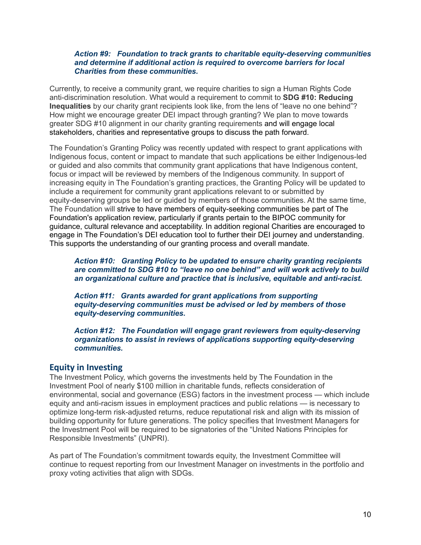#### *Action #9: Foundation to track grants to charitable equity-deserving communities and determine if additional action is required to overcome barriers for local Charities from these communities.*

Currently, to receive a community grant, we require charities to sign a Human Rights Code anti-discrimination resolution. What would a requirement to commit to **SDG #10: Reducing Inequalities** by our charity grant recipients look like, from the lens of "leave no one behind"? How might we encourage greater DEI impact through granting? We plan to move towards greater SDG #10 alignment in our charity granting requirements and will engage local stakeholders, charities and representative groups to discuss the path forward.

The Foundation's Granting Policy was recently updated with respect to grant applications with Indigenous focus, content or impact to mandate that such applications be either Indigenous-led or guided and also commits that community grant applications that have Indigenous content, focus or impact will be reviewed by members of the Indigenous community. In support of increasing equity in The Foundation's granting practices, the Granting Policy will be updated to include a requirement for community grant applications relevant to or submitted by equity-deserving groups be led or guided by members of those communities. At the same time, The Foundation will strive to have members of equity-seeking communities be part of The Foundation's application review, particularly if grants pertain to the BIPOC community for guidance, cultural relevance and acceptability. In addition regional Charities are encouraged to engage in The Foundation's DEI education tool to further their DEI journey and understanding. This supports the understanding of our granting process and overall mandate.

*Action #10: Granting Policy to be updated to ensure charity granting recipients are committed to SDG #10 to "leave no one behind" and will work actively to build an organizational culture and practice that is inclusive, equitable and anti-racist.*

*Action #11: Grants awarded for grant applications from supporting equity-deserving communities must be advised or led by members of those equity-deserving communities.*

*Action #12: The Foundation will engage grant reviewers from equity-deserving organizations to assist in reviews of applications supporting equity-deserving communities.*

## <span id="page-10-0"></span>**Equity in Investing**

The Investment Policy, which governs the investments held by The Foundation in the Investment Pool of nearly \$100 million in charitable funds, reflects consideration of environmental, social and governance (ESG) factors in the investment process — which include equity and anti-racism issues in employment practices and public relations — is necessary to optimize long-term risk-adjusted returns, reduce reputational risk and align with its mission of building opportunity for future generations. The policy specifies that Investment Managers for the Investment Pool will be required to be signatories of the "United Nations Principles for Responsible Investments" (UNPRI).

As part of The Foundation's commitment towards equity, the Investment Committee will continue to request reporting from our Investment Manager on investments in the portfolio and proxy voting activities that align with SDGs.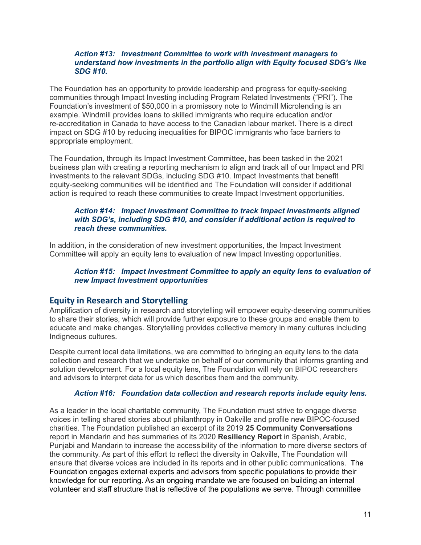#### *Action #13: Investment Committee to work with investment managers to understand how investments in the portfolio align with Equity focused SDG's like SDG #10.*

The Foundation has an opportunity to provide leadership and progress for equity-seeking communities through Impact Investing including Program Related Investments ("PRI"). The Foundation's investment of \$50,000 in a promissory note to Windmill Microlending is an example. Windmill provides loans to skilled immigrants who require education and/or re-accreditation in Canada to have access to the Canadian labour market. There is a direct impact on SDG #10 by reducing inequalities for BIPOC immigrants who face barriers to appropriate employment.

The Foundation, through its Impact Investment Committee, has been tasked in the 2021 business plan with creating a reporting mechanism to align and track all of our Impact and PRI investments to the relevant SDGs, including SDG #10. Impact Investments that benefit equity-seeking communities will be identified and The Foundation will consider if additional action is required to reach these communities to create Impact Investment opportunities.

#### *Action #14: Impact Investment Committee to track Impact Investments aligned with SDG's, including SDG #10, and consider if additional action is required to reach these communities.*

In addition, in the consideration of new investment opportunities, the Impact Investment Committee will apply an equity lens to evaluation of new Impact Investing opportunities.

#### *Action #15: Impact Investment Committee to apply an equity lens to evaluation of new Impact Investment opportunities*

## <span id="page-11-0"></span>**Equity in Research and Storytelling**

Amplification of diversity in research and storytelling will empower equity-deserving communities to share their stories, which will provide further exposure to these groups and enable them to educate and make changes. Storytelling provides collective memory in many cultures including Indigneous cultures.

Despite current local data limitations, we are committed to bringing an equity lens to the data collection and research that we undertake on behalf of our community that informs granting and solution development. For a local equity lens, The Foundation will rely on BIPOC researchers and advisors to interpret data for us which describes them and the community.

#### *Action #16: Foundation data collection and research reports include equity lens.*

As a leader in the local charitable community, The Foundation must strive to engage diverse voices in telling shared stories about philanthropy in Oakville and profile new BIPOC-focused charities. The Foundation published an excerpt of its 2019 **25 Community Conversations** report in Mandarin and has summaries of its 2020 **Resiliency Report** in Spanish, Arabic, Punjabi and Mandarin to increase the accessibility of the information to more diverse sectors of the community. As part of this effort to reflect the diversity in Oakville, The Foundation will ensure that diverse voices are included in its reports and in other public communications. The Foundation engages external experts and advisors from specific populations to provide their knowledge for our reporting. As an ongoing mandate we are focused on building an internal volunteer and staff structure that is reflective of the populations we serve. Through committee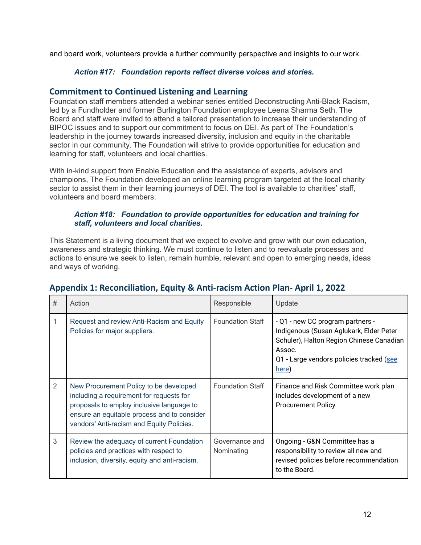and board work, volunteers provide a further community perspective and insights to our work.

#### *Action #17: Foundation reports reflect diverse voices and stories.*

#### <span id="page-12-0"></span>**Commitment to Continued Listening and Learning**

Foundation staff members attended a webinar series entitled Deconstructing Anti-Black Racism, led by a Fundholder and former Burlington Foundation employee Leena Sharma Seth. The Board and staff were invited to attend a tailored presentation to increase their understanding of BIPOC issues and to support our commitment to focus on DEI. As part of The Foundation's leadership in the journey towards increased diversity, inclusion and equity in the charitable sector in our community, The Foundation will strive to provide opportunities for education and learning for staff, volunteers and local charities.

With in-kind support from Enable Education and the assistance of experts, advisors and champions, The Foundation developed an online learning program targeted at the local charity sector to assist them in their learning journeys of DEI. The tool is available to charities' staff, volunteers and board members.

#### *Action #18: Foundation to provide opportunities for education and training for staff, volunteers and local charities.*

This Statement is a living document that we expect to evolve and grow with our own education, awareness and strategic thinking. We must continue to listen and to reevaluate processes and actions to ensure we seek to listen, remain humble, relevant and open to emerging needs, ideas and ways of working.

| #              | Action                                                                                                                                                                                                                      | Responsible                  | Update                                                                                                                                                                                 |
|----------------|-----------------------------------------------------------------------------------------------------------------------------------------------------------------------------------------------------------------------------|------------------------------|----------------------------------------------------------------------------------------------------------------------------------------------------------------------------------------|
|                | Request and review Anti-Racism and Equity<br>Policies for major suppliers.                                                                                                                                                  | <b>Foundation Staff</b>      | - Q1 - new CC program partners -<br>Indigenous (Susan Aglukark, Elder Peter<br>Schuler), Halton Region Chinese Canadian<br>Assoc.<br>Q1 - Large vendors policies tracked (see<br>here) |
| $\overline{2}$ | New Procurement Policy to be developed<br>including a requirement for requests for<br>proposals to employ inclusive language to<br>ensure an equitable process and to consider<br>vendors' Anti-racism and Equity Policies. | <b>Foundation Staff</b>      | Finance and Risk Committee work plan<br>includes development of a new<br>Procurement Policy.                                                                                           |
| 3              | Review the adequacy of current Foundation<br>policies and practices with respect to<br>inclusion, diversity, equity and anti-racism.                                                                                        | Governance and<br>Nominating | Ongoing - G&N Committee has a<br>responsibility to review all new and<br>revised policies before recommendation<br>to the Board.                                                       |

## <span id="page-12-1"></span>**Appendix 1: Reconciliation, Equity & Anti-racism Action Plan- April 1, 2022**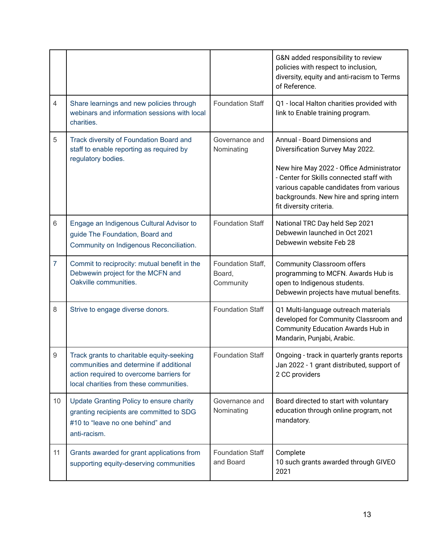|                 |                                                                                                                                                                             |                                          | G&N added responsibility to review<br>policies with respect to inclusion,<br>diversity, equity and anti-racism to Terms<br>of Reference.                                                                                                                                   |
|-----------------|-----------------------------------------------------------------------------------------------------------------------------------------------------------------------------|------------------------------------------|----------------------------------------------------------------------------------------------------------------------------------------------------------------------------------------------------------------------------------------------------------------------------|
| $\overline{4}$  | Share learnings and new policies through<br>webinars and information sessions with local<br>charities.                                                                      | <b>Foundation Staff</b>                  | Q1 - local Halton charities provided with<br>link to Enable training program.                                                                                                                                                                                              |
| 5               | Track diversity of Foundation Board and<br>staff to enable reporting as required by<br>regulatory bodies.                                                                   | Governance and<br>Nominating             | Annual - Board Dimensions and<br>Diversification Survey May 2022.<br>New hire May 2022 - Office Administrator<br>- Center for Skills connected staff with<br>various capable candidates from various<br>backgrounds. New hire and spring intern<br>fit diversity criteria. |
| 6               | Engage an Indigenous Cultural Advisor to<br>guide The Foundation, Board and<br>Community on Indigenous Reconciliation.                                                      | <b>Foundation Staff</b>                  | National TRC Day held Sep 2021<br>Debwewin launched in Oct 2021<br>Debwewin website Feb 28                                                                                                                                                                                 |
| $\overline{7}$  | Commit to reciprocity: mutual benefit in the<br>Debwewin project for the MCFN and<br>Oakville communities.                                                                  | Foundation Staff,<br>Board,<br>Community | <b>Community Classroom offers</b><br>programming to MCFN. Awards Hub is<br>open to Indigenous students.<br>Debwewin projects have mutual benefits.                                                                                                                         |
| 8               | Strive to engage diverse donors.                                                                                                                                            | <b>Foundation Staff</b>                  | Q1 Multi-language outreach materials<br>developed for Community Classroom and<br><b>Community Education Awards Hub in</b><br>Mandarin, Punjabi, Arabic.                                                                                                                    |
| 9               | Track grants to charitable equity-seeking<br>communities and determine if additional<br>action required to overcome barriers for<br>local charities from these communities. | <b>Foundation Staff</b>                  | Ongoing - track in quarterly grants reports<br>Jan 2022 - 1 grant distributed, support of<br>2 CC providers                                                                                                                                                                |
| 10 <sup>°</sup> | Update Granting Policy to ensure charity<br>granting recipients are committed to SDG<br>#10 to "leave no one behind" and<br>anti-racism.                                    | Governance and<br>Nominating             | Board directed to start with voluntary<br>education through online program, not<br>mandatory.                                                                                                                                                                              |
| 11              | Grants awarded for grant applications from<br>supporting equity-deserving communities                                                                                       | <b>Foundation Staff</b><br>and Board     | Complete<br>10 such grants awarded through GIVEO<br>2021                                                                                                                                                                                                                   |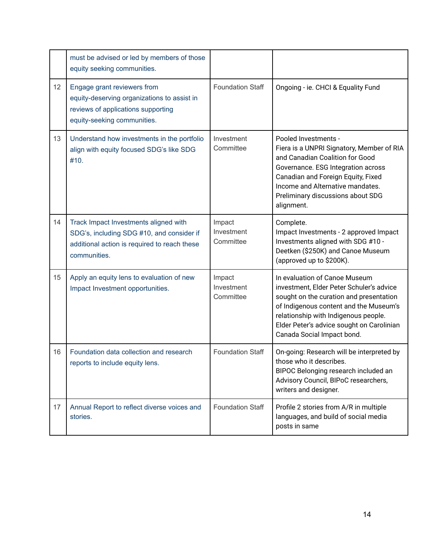|    | must be advised or led by members of those<br>equity seeking communities.                                                                          |                                   |                                                                                                                                                                                                                                                                                   |
|----|----------------------------------------------------------------------------------------------------------------------------------------------------|-----------------------------------|-----------------------------------------------------------------------------------------------------------------------------------------------------------------------------------------------------------------------------------------------------------------------------------|
| 12 | Engage grant reviewers from<br>equity-deserving organizations to assist in<br>reviews of applications supporting<br>equity-seeking communities.    | <b>Foundation Staff</b>           | Ongoing - ie. CHCl & Equality Fund                                                                                                                                                                                                                                                |
| 13 | Understand how investments in the portfolio<br>align with equity focused SDG's like SDG<br>#10.                                                    | Investment<br>Committee           | Pooled Investments -<br>Fiera is a UNPRI Signatory, Member of RIA<br>and Canadian Coalition for Good<br>Governance. ESG Integration across<br>Canadian and Foreign Equity, Fixed<br>Income and Alternative mandates.<br>Preliminary discussions about SDG<br>alignment.           |
| 14 | Track Impact Investments aligned with<br>SDG's, including SDG #10, and consider if<br>additional action is required to reach these<br>communities. | Impact<br>Investment<br>Committee | Complete.<br>Impact Investments - 2 approved Impact<br>Investments aligned with SDG #10 -<br>Deetken (\$250K) and Canoe Museum<br>(approved up to \$200K).                                                                                                                        |
| 15 | Apply an equity lens to evaluation of new<br>Impact Investment opportunities.                                                                      | Impact<br>Investment<br>Committee | In evaluation of Canoe Museum<br>investment, Elder Peter Schuler's advice<br>sought on the curation and presentation<br>of Indigenous content and the Museum's<br>relationship with Indigenous people.<br>Elder Peter's advice sought on Carolinian<br>Canada Social Impact bond. |
| 16 | Foundation data collection and research<br>reports to include equity lens.                                                                         | <b>Foundation Staff</b>           | On-going: Research will be interpreted by<br>those who it describes.<br>BIPOC Belonging research included an<br>Advisory Council, BIPoC researchers,<br>writers and designer.                                                                                                     |
| 17 | Annual Report to reflect diverse voices and<br>stories.                                                                                            | <b>Foundation Staff</b>           | Profile 2 stories from A/R in multiple<br>languages, and build of social media<br>posts in same                                                                                                                                                                                   |